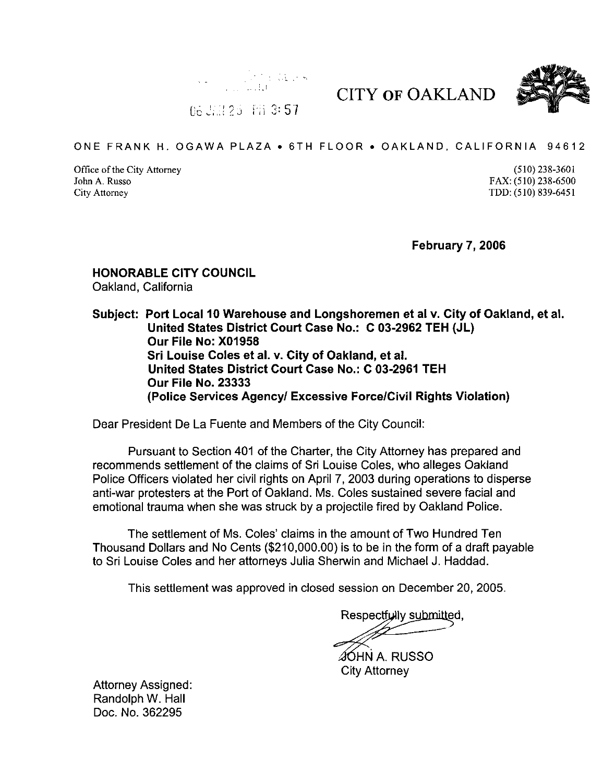



 $06 \, \mathrm{J} \times 25$  Fii 3: 57

## ONE FRANK H. OGAWA PLAZA • 6TH FLOOR • OAKLAND, CALIFORNIA 94612

Office of the City Attorney (510) 238-3601 John A. Russo FAX: (510) 238-6500 City Attorney TDD: (510) 839-6451

February 7, 2006

CITY OF OAKLAND

## HONORABLE CITY COUNCIL Oakland, California

Subject: Port Local 10 Warehouse and Longshoremen et al v. City of Oakland, et al. United States District Court Case No.: C 03-2962 TEH (JL) Our File No: X01958 Sri Louise Coles et al. v. City of Oakland, et al. United States District Court Case No.: C 03-2961 TEH Our File No. 23333 (Police Services Agency/ Excessive Force/Civil Rights Violation)

Dear President De La Fuente and Members of the City Council:

Pursuant to Section 401 of the Charter, the City Attorney has prepared and recommends settlement of the claims of Sri Louise Coles, who alleges Oakland Police Officers violated her civil rights on April 7, 2003 during operations to disperse anti-war protesters at the Port of Oakland. Ms. Coles sustained severe facial and emotional trauma when she was struck by a projectile fired by Oakland Police.

The settlement of Ms. Coles' claims in the amount of Two Hundred Ten Thousand Dollars and No Cents (\$210,000.00) is to be in the form of a draft payable to Sri Louise Coles and her attorneys Julia Sherwin and Michael J. Haddad.

This settlement was approved in closed session on December 20, 2005.

Respectfully submitted,

**SOHN A. RUSSO** City Attorney

Attorney Assigned: Randolph W. Hall Doc. No. 362295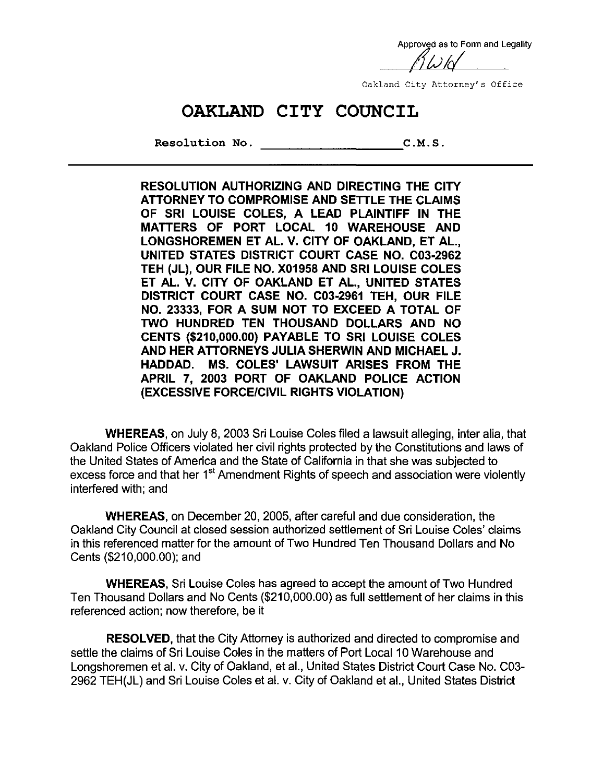Approved as to Form and Legality

Oakland City Attorney's Office

## OAKLAND CITY COUNCIL

Resolution No. C.M.S.

RESOLUTION AUTHORIZING AND DIRECTING THE CITY ATTORNEY TO COMPROMISE AND SETTLE THE CLAIMS OF SRI LOUISE COLES, A LEAD PLAINTIFF IN THE MATTERS OF PORT LOCAL 10 WAREHOUSE AND LONGSHOREMEN ET AL. V. CITY OF OAKLAND, ET AL, UNITED STATES DISTRICT COURT CASE NO. C03-2962 TEH (JL), OUR FILE NO. X01958 AND SRI LOUISE COLES ET AL. V. CITY OF OAKLAND ET AL., UNITED STATES DISTRICT COURT CASE NO. C03-2961 TEH, OUR FILE NO. 23333, FOR A SUM NOT TO EXCEED A TOTAL OF TWO HUNDRED TEN THOUSAND DOLLARS AND NO CENTS (\$210,000.00) PAYABLE TO SRI LOUISE COLES AND HER ATTORNEYS JULIA SHERWIN AND MICHAEL J. HADDAD. MS. COLES' LAWSUIT ARISES FROM THE APRIL 7, 2003 PORT OF OAKLAND POLICE ACTION (EXCESSIVE FORCE/CIVIL RIGHTS VIOLATION)

WHEREAS, on July 8, 2003 Sri Louise Coles filed a lawsuit alleging, inter alia, that Oakland Police Officers violated her civil rights protected by the Constitutions and laws of the United States of America and the State of California in that she was subjected to excess force and that her 1<sup>st</sup> Amendment Rights of speech and association were violently interfered with; and

WHEREAS, on December 20, 2005, after careful and due consideration, the Oakland City Council at closed session authorized settlement of Sri Louise Coles' claims in this referenced matter for the amount of Two Hundred Ten Thousand Dollars and No Cents (\$210,000.00); and

WHEREAS, Sri Louise Coles has agreed to accept the amount of Two Hundred Ten Thousand Dollars and No Cents (\$210,000.00) as full settlement of her claims in this referenced action; now therefore, be it

RESOLVED, that the City Attorney is authorized and directed to compromise and settle the claims of Sri Louise Coles in the matters of Port Local 10 Warehouse and Longshoremen et al. v. City of Oakland, et al., United States District Court Case No. C03- 2962 TEH(JL) and Sri Louise Coles et al. v. City of Oakland et al., United States District